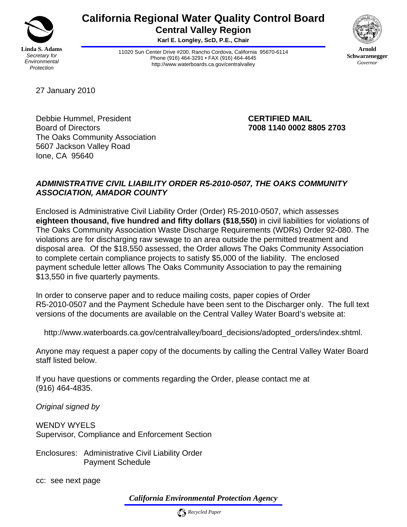

# **California Regional Water Quality Control Board Central Valley Region**

**Karl E. Longley, ScD, P.E., Chair** 

11020 Sun Center Drive #200, Rancho Cordova, California 95670-6114 Phone (916) 464-3291 • FAX (916) 464-4645 http://www.waterboards.ca.gov/centralvalley



**Arnold Schwarzenegger** *Governor* 

27 January 2010

Debbie Hummel, President **CERTIFIED MAIL** Board of Directors **7008 1140 0002 8805 2703**  The Oaks Community Association 5607 Jackson Valley Road Ione, CA 95640

# *ADMINISTRATIVE CIVIL LIABILITY ORDER R5-2010-0507, THE OAKS COMMUNITY ASSOCIATION, AMADOR COUNTY*

Enclosed is Administrative Civil Liability Order (Order) R5-2010-0507, which assesses **eighteen thousand, five hundred and fifty dollars (\$18,550)** in civil liabilities for violations of The Oaks Community Association Waste Discharge Requirements (WDRs) Order 92-080. The violations are for discharging raw sewage to an area outside the permitted treatment and disposal area. Of the \$18,550 assessed, the Order allows The Oaks Community Association to complete certain compliance projects to satisfy \$5,000 of the liability. The enclosed payment schedule letter allows The Oaks Community Association to pay the remaining \$13,550 in five quarterly payments.

In order to conserve paper and to reduce mailing costs, paper copies of Order R5-2010-0507 and the Payment Schedule have been sent to the Discharger only. The full text versions of the documents are available on the Central Valley Water Board's website at:

http://www.waterboards.ca.gov/centralvalley/board\_decisions/adopted\_orders/index.shtml.

Anyone may request a paper copy of the documents by calling the Central Valley Water Board staff listed below.

If you have questions or comments regarding the Order, please contact me at (916) 464-4835.

*Original signed by* 

WENDY WYELS Supervisor, Compliance and Enforcement Section

Enclosures: Administrative Civil Liability Order Payment Schedule

cc: see next page

*California Environmental Protection Agency*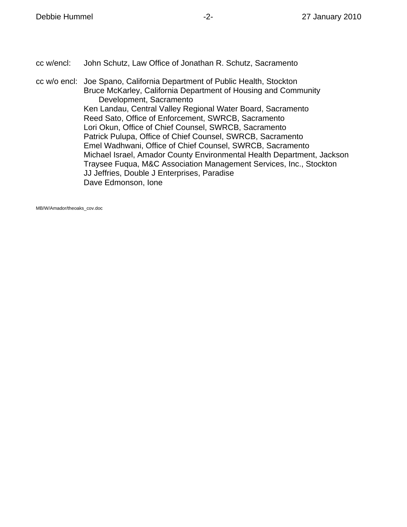cc w/encl: John Schutz, Law Office of Jonathan R. Schutz, Sacramento

cc w/o encl: Joe Spano, California Department of Public Health, Stockton Bruce McKarley, California Department of Housing and Community Development, Sacramento Ken Landau, Central Valley Regional Water Board, Sacramento Reed Sato, Office of Enforcement, SWRCB, Sacramento Lori Okun, Office of Chief Counsel, SWRCB, Sacramento Patrick Pulupa, Office of Chief Counsel, SWRCB, Sacramento Emel Wadhwani, Office of Chief Counsel, SWRCB, Sacramento Michael Israel, Amador County Environmental Health Department, Jackson Traysee Fuqua, M&C Association Management Services, Inc., Stockton JJ Jeffries, Double J Enterprises, Paradise Dave Edmonson, Ione

MB/W/Amador/theoaks\_cov.doc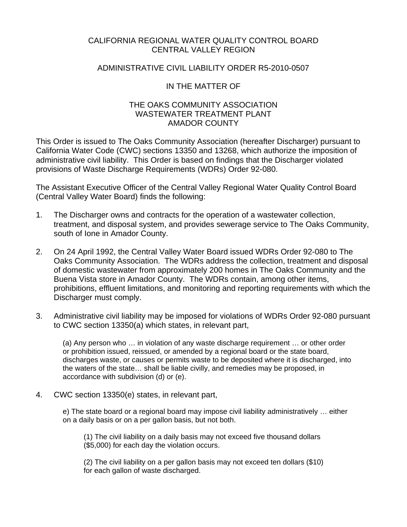## CALIFORNIA REGIONAL WATER QUALITY CONTROL BOARD CENTRAL VALLEY REGION

### ADMINISTRATIVE CIVIL LIABILITY ORDER R5-2010-0507

## IN THE MATTER OF

#### THE OAKS COMMUNITY ASSOCIATION WASTEWATER TREATMENT PLANT AMADOR COUNTY

This Order is issued to The Oaks Community Association (hereafter Discharger) pursuant to California Water Code (CWC) sections 13350 and 13268, which authorize the imposition of administrative civil liability. This Order is based on findings that the Discharger violated provisions of Waste Discharge Requirements (WDRs) Order 92-080.

The Assistant Executive Officer of the Central Valley Regional Water Quality Control Board (Central Valley Water Board) finds the following:

- 1. The Discharger owns and contracts for the operation of a wastewater collection, treatment, and disposal system, and provides sewerage service to The Oaks Community, south of Ione in Amador County.
- 2. On 24 April 1992, the Central Valley Water Board issued WDRs Order 92-080 to The Oaks Community Association. The WDRs address the collection, treatment and disposal of domestic wastewater from approximately 200 homes in The Oaks Community and the Buena Vista store in Amador County. The WDRs contain, among other items, prohibitions, effluent limitations, and monitoring and reporting requirements with which the Discharger must comply.
- 3. Administrative civil liability may be imposed for violations of WDRs Order 92-080 pursuant to CWC section 13350(a) which states, in relevant part,

(a) Any person who … in violation of any waste discharge requirement … or other order or prohibition issued, reissued, or amended by a regional board or the state board, discharges waste, or causes or permits waste to be deposited where it is discharged, into the waters of the state… shall be liable civilly, and remedies may be proposed, in accordance with subdivision (d) or (e).

4. CWC section 13350(e) states, in relevant part,

e) The state board or a regional board may impose civil liability administratively … either on a daily basis or on a per gallon basis, but not both.

(1) The civil liability on a daily basis may not exceed five thousand dollars (\$5,000) for each day the violation occurs.

(2) The civil liability on a per gallon basis may not exceed ten dollars (\$10) for each gallon of waste discharged.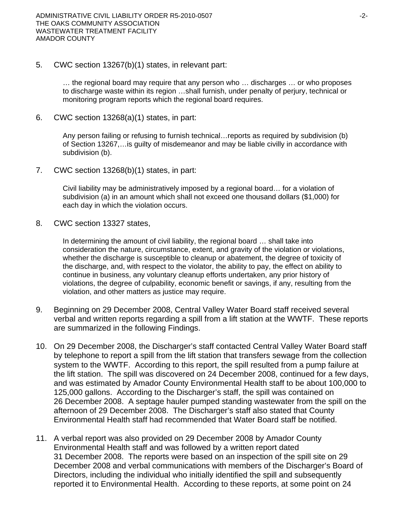5. CWC section 13267(b)(1) states, in relevant part:

… the regional board may require that any person who … discharges … or who proposes to discharge waste within its region …shall furnish, under penalty of perjury, technical or monitoring program reports which the regional board requires.

6. CWC section 13268(a)(1) states, in part:

Any person failing or refusing to furnish technical…reports as required by subdivision (b) of Section 13267,…is guilty of misdemeanor and may be liable civilly in accordance with subdivision (b).

7. CWC section 13268(b)(1) states, in part:

Civil liability may be administratively imposed by a regional board… for a violation of subdivision (a) in an amount which shall not exceed one thousand dollars (\$1,000) for each day in which the violation occurs.

8. CWC section 13327 states,

In determining the amount of civil liability, the regional board … shall take into consideration the nature, circumstance, extent, and gravity of the violation or violations, whether the discharge is susceptible to cleanup or abatement, the degree of toxicity of the discharge, and, with respect to the violator, the ability to pay, the effect on ability to continue in business, any voluntary cleanup efforts undertaken, any prior history of violations, the degree of culpability, economic benefit or savings, if any, resulting from the violation, and other matters as justice may require.

- 9. Beginning on 29 December 2008, Central Valley Water Board staff received several verbal and written reports regarding a spill from a lift station at the WWTF. These reports are summarized in the following Findings.
- 10. On 29 December 2008, the Discharger's staff contacted Central Valley Water Board staff by telephone to report a spill from the lift station that transfers sewage from the collection system to the WWTF. According to this report, the spill resulted from a pump failure at the lift station. The spill was discovered on 24 December 2008, continued for a few days, and was estimated by Amador County Environmental Health staff to be about 100,000 to 125,000 gallons. According to the Discharger's staff, the spill was contained on 26 December 2008. A septage hauler pumped standing wastewater from the spill on the afternoon of 29 December 2008. The Discharger's staff also stated that County Environmental Health staff had recommended that Water Board staff be notified.
- 11. A verbal report was also provided on 29 December 2008 by Amador County Environmental Health staff and was followed by a written report dated 31 December 2008. The reports were based on an inspection of the spill site on 29 December 2008 and verbal communications with members of the Discharger's Board of Directors, including the individual who initially identified the spill and subsequently reported it to Environmental Health. According to these reports, at some point on 24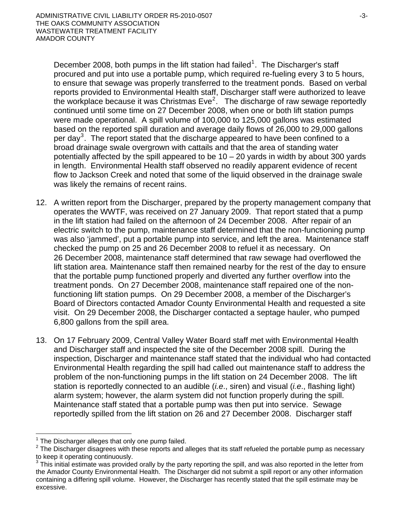December 2008, both pumps in the lift station had failed<sup>1</sup>. The Discharger's staff procured and put into use a portable pump, which required re-fueling every 3 to 5 hours, to ensure that sewage was properly transferred to the treatment ponds. Based on verbal reports provided to Environmental Health staff, Discharger staff were authorized to leave the workplace because it was Christmas Eve<sup>2</sup>. The discharge of raw sewage reportedly continued until some time on 27 December 2008, when one or both lift station pumps were made operational. A spill volume of 100,000 to 125,000 gallons was estimated based on the reported spill duration and average daily flows of 26,000 to 29,000 gallons per day<sup>3</sup>. The report stated that the discharge appeared to have been confined to a broad drainage swale overgrown with cattails and that the area of standing water potentially affected by the spill appeared to be  $10 - 20$  yards in width by about 300 yards in length. Environmental Health staff observed no readily apparent evidence of recent flow to Jackson Creek and noted that some of the liquid observed in the drainage swale was likely the remains of recent rains.

- 12. A written report from the Discharger, prepared by the property management company that operates the WWTF, was received on 27 January 2009. That report stated that a pump in the lift station had failed on the afternoon of 24 December 2008. After repair of an electric switch to the pump, maintenance staff determined that the non-functioning pump was also 'jammed', put a portable pump into service, and left the area. Maintenance staff checked the pump on 25 and 26 December 2008 to refuel it as necessary. On 26 December 2008, maintenance staff determined that raw sewage had overflowed the lift station area. Maintenance staff then remained nearby for the rest of the day to ensure that the portable pump functioned properly and diverted any further overflow into the treatment ponds. On 27 December 2008, maintenance staff repaired one of the nonfunctioning lift station pumps. On 29 December 2008, a member of the Discharger's Board of Directors contacted Amador County Environmental Health and requested a site visit. On 29 December 2008, the Discharger contacted a septage hauler, who pumped 6,800 gallons from the spill area.
- 13. On 17 February 2009, Central Valley Water Board staff met with Environmental Health and Discharger staff and inspected the site of the December 2008 spill. During the inspection, Discharger and maintenance staff stated that the individual who had contacted Environmental Health regarding the spill had called out maintenance staff to address the problem of the non-functioning pumps in the lift station on 24 December 2008. The lift station is reportedly connected to an audible (*i.e*., siren) and visual (*i.e*., flashing light) alarm system; however, the alarm system did not function properly during the spill. Maintenance staff stated that a portable pump was then put into service. Sewage reportedly spilled from the lift station on 26 and 27 December 2008. Discharger staff

 $\overline{a}$ 1 The Discharger alleges that only one pump failed.

 $2$  The Discharger disagrees with these reports and alleges that its staff refueled the portable pump as necessary to keep it operating continuously.

 $3$  This initial estimate was provided orally by the party reporting the spill, and was also reported in the letter from the Amador County Environmental Health. The Discharger did not submit a spill report or any other information containing a differing spill volume. However, the Discharger has recently stated that the spill estimate may be excessive.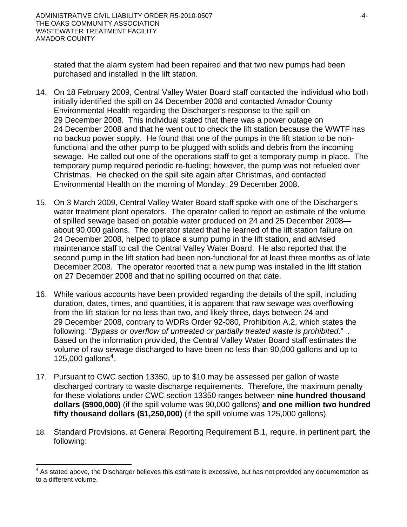stated that the alarm system had been repaired and that two new pumps had been purchased and installed in the lift station.

- 14. On 18 February 2009, Central Valley Water Board staff contacted the individual who both initially identified the spill on 24 December 2008 and contacted Amador County Environmental Health regarding the Discharger's response to the spill on 29 December 2008. This individual stated that there was a power outage on 24 December 2008 and that he went out to check the lift station because the WWTF has no backup power supply. He found that one of the pumps in the lift station to be nonfunctional and the other pump to be plugged with solids and debris from the incoming sewage. He called out one of the operations staff to get a temporary pump in place. The temporary pump required periodic re-fueling; however, the pump was not refueled over Christmas. He checked on the spill site again after Christmas, and contacted Environmental Health on the morning of Monday, 29 December 2008.
- 15. On 3 March 2009, Central Valley Water Board staff spoke with one of the Discharger's water treatment plant operators. The operator called to report an estimate of the volume of spilled sewage based on potable water produced on 24 and 25 December 2008 about 90,000 gallons. The operator stated that he learned of the lift station failure on 24 December 2008, helped to place a sump pump in the lift station, and advised maintenance staff to call the Central Valley Water Board. He also reported that the second pump in the lift station had been non-functional for at least three months as of late December 2008. The operator reported that a new pump was installed in the lift station on 27 December 2008 and that no spilling occurred on that date.
- 16. While various accounts have been provided regarding the details of the spill, including duration, dates, times, and quantities, it is apparent that raw sewage was overflowing from the lift station for no less than two, and likely three, days between 24 and 29 December 2008, contrary to WDRs Order 92-080, Prohibition A.2, which states the following: "*Bypass or overflow of untreated or partially treated waste is prohibited*." . Based on the information provided, the Central Valley Water Board staff estimates the volume of raw sewage discharged to have been no less than 90,000 gallons and up to 125,000 gallons $4$ .
- 17. Pursuant to CWC section 13350, up to \$10 may be assessed per gallon of waste discharged contrary to waste discharge requirements. Therefore, the maximum penalty for these violations under CWC section 13350 ranges between **nine hundred thousand dollars (\$900,000)** (if the spill volume was 90,000 gallons) **and one million two hundred fifty thousand dollars (\$1,250,000)** (if the spill volume was 125,000 gallons).
- 18. Standard Provisions, at General Reporting Requirement B.1, require, in pertinent part, the following:

 $\overline{a}$ 

<span id="page-5-0"></span> $4$  As stated above, the Discharger believes this estimate is excessive, but has not provided any documentation as to a different volume.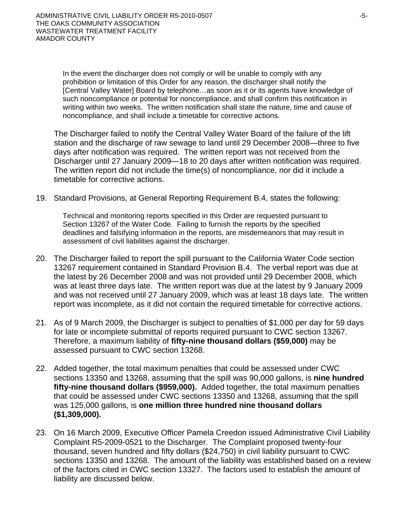In the event the discharger does not comply or will be unable to comply with any prohibition or limitation of this Order for any reason, the discharger shall notify the [Central Valley Water] Board by telephone…as soon as it or its agents have knowledge of such noncompliance or potential for noncompliance, and shall confirm this notification in writing within two weeks. The written notification shall state the nature, time and cause of noncompliance, and shall include a timetable for corrective actions.

The Discharger failed to notify the Central Valley Water Board of the failure of the lift station and the discharge of raw sewage to land until 29 December 2008—three to five days after notification was required. The written report was not received from the Discharger until 27 January 2009—18 to 20 days after written notification was required. The written report did not include the time(s) of noncompliance, nor did it include a timetable for corrective actions.

19. Standard Provisions, at General Reporting Requirement B.4, states the following:

Technical and monitoring reports specified in this Order are requested pursuant to Section 13267 of the Water Code. Failing to furnish the reports by the specified deadlines and falsifying information in the reports, are misdemeanors that may result in assessment of civil liabilities against the discharger.

- 20. The Discharger failed to report the spill pursuant to the California Water Code section 13267 requirement contained in Standard Provision B.4. The verbal report was due at the latest by 26 December 2008 and was not provided until 29 December 2008, which was at least three days late. The written report was due at the latest by 9 January 2009 and was not received until 27 January 2009, which was at least 18 days late. The written report was incomplete, as it did not contain the required timetable for corrective actions.
- 21. As of 9 March 2009, the Discharger is subject to penalties of \$1,000 per day for 59 days for late or incomplete submittal of reports required pursuant to CWC section 13267. Therefore, a maximum liability of **fifty-nine thousand dollars (\$59,000)** may be assessed pursuant to CWC section 13268.
- 22. Added together, the total maximum penalties that could be assessed under CWC sections 13350 and 13268, assuming that the spill was 90,000 gallons, is **nine hundred fifty-nine thousand dollars (\$959,000).** Added together, the total maximum penalties that could be assessed under CWC sections 13350 and 13268, assuming that the spill was 125,000 gallons, is **one million three hundred nine thousand dollars (\$1,309,000).**
- 23. On 16 March 2009, Executive Officer Pamela Creedon issued Administrative Civil Liability Complaint R5-2009-0521 to the Discharger. The Complaint proposed twenty-four thousand, seven hundred and fifty dollars (\$24,750) in civil liability pursuant to CWC sections 13350 and 13268. The amount of the liability was established based on a review of the factors cited in CWC section 13327. The factors used to establish the amount of liability are discussed below.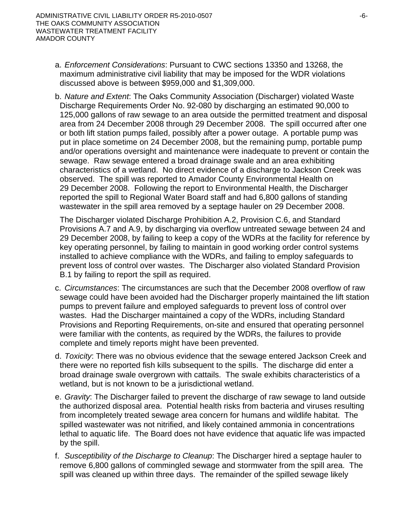- a. *Enforcement Considerations*: Pursuant to CWC sections 13350 and 13268, the maximum administrative civil liability that may be imposed for the WDR violations discussed above is between \$959,000 and \$1,309,000.
- b. *Nature and Extent*: The Oaks Community Association (Discharger) violated Waste Discharge Requirements Order No. 92-080 by discharging an estimated 90,000 to 125,000 gallons of raw sewage to an area outside the permitted treatment and disposal area from 24 December 2008 through 29 December 2008. The spill occurred after one or both lift station pumps failed, possibly after a power outage. A portable pump was put in place sometime on 24 December 2008, but the remaining pump, portable pump and/or operations oversight and maintenance were inadequate to prevent or contain the sewage. Raw sewage entered a broad drainage swale and an area exhibiting characteristics of a wetland. No direct evidence of a discharge to Jackson Creek was observed. The spill was reported to Amador County Environmental Health on 29 December 2008. Following the report to Environmental Health, the Discharger reported the spill to Regional Water Board staff and had 6,800 gallons of standing wastewater in the spill area removed by a septage hauler on 29 December 2008.

The Discharger violated Discharge Prohibition A.2, Provision C.6, and Standard Provisions A.7 and A.9, by discharging via overflow untreated sewage between 24 and 29 December 2008, by failing to keep a copy of the WDRs at the facility for reference by key operating personnel, by failing to maintain in good working order control systems installed to achieve compliance with the WDRs, and failing to employ safeguards to prevent loss of control over wastes. The Discharger also violated Standard Provision B.1 by failing to report the spill as required.

- c. *Circumstances*: The circumstances are such that the December 2008 overflow of raw sewage could have been avoided had the Discharger properly maintained the lift station pumps to prevent failure and employed safeguards to prevent loss of control over wastes. Had the Discharger maintained a copy of the WDRs, including Standard Provisions and Reporting Requirements, on-site and ensured that operating personnel were familiar with the contents, as required by the WDRs, the failures to provide complete and timely reports might have been prevented.
- d. *Toxicity*: There was no obvious evidence that the sewage entered Jackson Creek and there were no reported fish kills subsequent to the spills. The discharge did enter a broad drainage swale overgrown with cattails. The swale exhibits characteristics of a wetland, but is not known to be a jurisdictional wetland.
- e. *Gravity*: The Discharger failed to prevent the discharge of raw sewage to land outside the authorized disposal area. Potential health risks from bacteria and viruses resulting from incompletely treated sewage area concern for humans and wildlife habitat. The spilled wastewater was not nitrified, and likely contained ammonia in concentrations lethal to aquatic life. The Board does not have evidence that aquatic life was impacted by the spill.
- f. *Susceptibility of the Discharge to Cleanup*: The Discharger hired a septage hauler to remove 6,800 gallons of commingled sewage and stormwater from the spill area. The spill was cleaned up within three days. The remainder of the spilled sewage likely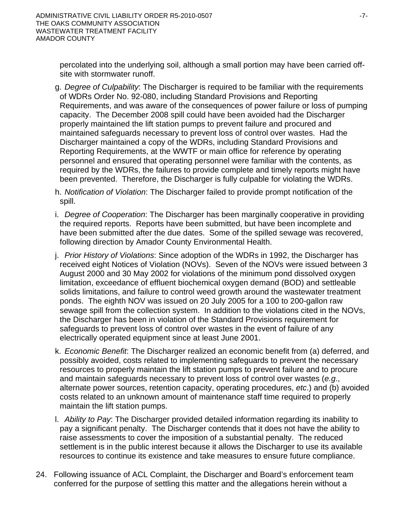percolated into the underlying soil, although a small portion may have been carried offsite with stormwater runoff.

- g. *Degree of Culpability*: The Discharger is required to be familiar with the requirements of WDRs Order No. 92-080, including Standard Provisions and Reporting Requirements, and was aware of the consequences of power failure or loss of pumping capacity. The December 2008 spill could have been avoided had the Discharger properly maintained the lift station pumps to prevent failure and procured and maintained safeguards necessary to prevent loss of control over wastes. Had the Discharger maintained a copy of the WDRs, including Standard Provisions and Reporting Requirements, at the WWTF or main office for reference by operating personnel and ensured that operating personnel were familiar with the contents, as required by the WDRs, the failures to provide complete and timely reports might have been prevented. Therefore, the Discharger is fully culpable for violating the WDRs.
- h. *Notification of Violation*: The Discharger failed to provide prompt notification of the spill.
- i. *Degree of Cooperation*: The Discharger has been marginally cooperative in providing the required reports. Reports have been submitted, but have been incomplete and have been submitted after the due dates. Some of the spilled sewage was recovered, following direction by Amador County Environmental Health.
- j. *Prior History of Violations*: Since adoption of the WDRs in 1992, the Discharger has received eight Notices of Violation (NOVs). Seven of the NOVs were issued between 3 August 2000 and 30 May 2002 for violations of the minimum pond dissolved oxygen limitation, exceedance of effluent biochemical oxygen demand (BOD) and settleable solids limitations, and failure to control weed growth around the wastewater treatment ponds. The eighth NOV was issued on 20 July 2005 for a 100 to 200-gallon raw sewage spill from the collection system. In addition to the violations cited in the NOVs, the Discharger has been in violation of the Standard Provisions requirement for safeguards to prevent loss of control over wastes in the event of failure of any electrically operated equipment since at least June 2001.
- k. *Economic Benefit*: The Discharger realized an economic benefit from (a) deferred, and possibly avoided, costs related to implementing safeguards to prevent the necessary resources to properly maintain the lift station pumps to prevent failure and to procure and maintain safeguards necessary to prevent loss of control over wastes (*e.g*., alternate power sources, retention capacity, operating procedures, *etc*.) and (b) avoided costs related to an unknown amount of maintenance staff time required to properly maintain the lift station pumps.
- l. *Ability to Pay*: The Discharger provided detailed information regarding its inability to pay a significant penalty. The Discharger contends that it does not have the ability to raise assessments to cover the imposition of a substantial penalty. The reduced settlement is in the public interest because it allows the Discharger to use its available resources to continue its existence and take measures to ensure future compliance.
- 24. Following issuance of ACL Complaint, the Discharger and Board's enforcement team conferred for the purpose of settling this matter and the allegations herein without a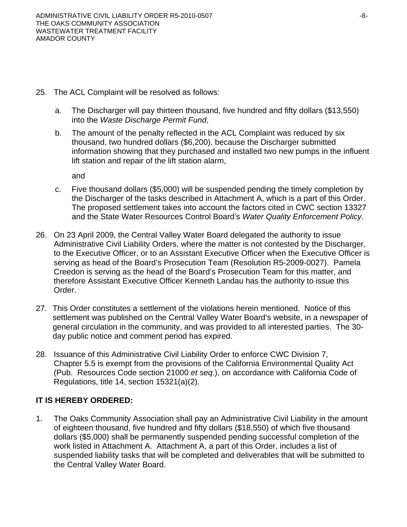- 25. The ACL Complaint will be resolved as follows:
	- a. The Discharger will pay thirteen thousand, five hundred and fifty dollars (\$13,550) into the *Waste Discharge Permit Fund*,
	- b. The amount of the penalty reflected in the ACL Complaint was reduced by six thousand, two hundred dollars (\$6,200), because the Discharger submitted information showing that they purchased and installed two new pumps in the influent lift station and repair of the lift station alarm,

and

- c. Five thousand dollars (\$5,000) will be suspended pending the timely completion by the Discharger of the tasks described in Attachment A, which is a part of this Order. The proposed settlement takes into account the factors cited in CWC section 13327 and the State Water Resources Control Board's *Water Quality Enforcement Policy*.
- 26. On 23 April 2009, the Central Valley Water Board delegated the authority to issue Administrative Civil Liability Orders, where the matter is not contested by the Discharger, to the Executive Officer, or to an Assistant Executive Officer when the Executive Officer is serving as head of the Board's Prosecution Team (Resolution R5-2009-0027). Pamela Creedon is serving as the head of the Board's Prosecution Team for this matter, and therefore Assistant Executive Officer Kenneth Landau has the authority to issue this Order.
- 27. This Order constitutes a settlement of the violations herein mentioned. Notice of this settlement was published on the Central Valley Water Board's website, in a newspaper of general circulation in the community, and was provided to all interested parties. The 30 day public notice and comment period has expired.
- 28. Issuance of this Administrative Civil Liability Order to enforce CWC Division 7, Chapter 5.5 is exempt from the provisions of the California Environmental Quality Act (Pub. Resources Code section 21000 *et seq*.), on accordance with California Code of Regulations, title 14, section 15321(a)(2).

# **IT IS HEREBY ORDERED:**

1. The Oaks Community Association shall pay an Administrative Civil Liability in the amount of eighteen thousand, five hundred and fifty dollars (\$18,550) of which five thousand dollars (\$5,000) shall be permanently suspended pending successful completion of the work listed in Attachment A. Attachment A, a part of this Order, includes a list of suspended liability tasks that will be completed and deliverables that will be submitted to the Central Valley Water Board.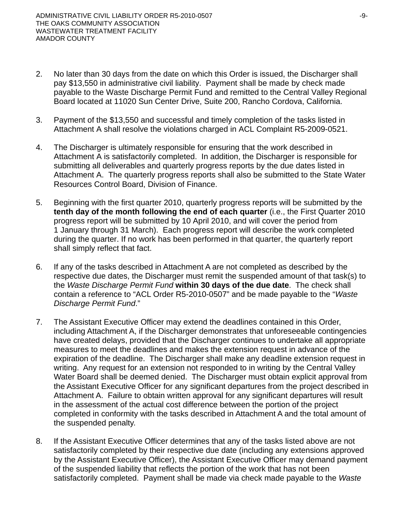- 2. No later than 30 days from the date on which this Order is issued, the Discharger shall pay \$13,550 in administrative civil liability. Payment shall be made by check made payable to the Waste Discharge Permit Fund and remitted to the Central Valley Regional Board located at 11020 Sun Center Drive, Suite 200, Rancho Cordova, California.
- 3. Payment of the \$13,550 and successful and timely completion of the tasks listed in Attachment A shall resolve the violations charged in ACL Complaint R5-2009-0521.
- 4. The Discharger is ultimately responsible for ensuring that the work described in Attachment A is satisfactorily completed. In addition, the Discharger is responsible for submitting all deliverables and quarterly progress reports by the due dates listed in Attachment A. The quarterly progress reports shall also be submitted to the State Water Resources Control Board, Division of Finance.
- 5. Beginning with the first quarter 2010, quarterly progress reports will be submitted by the **tenth day of the month following the end of each quarter** (i.e., the First Quarter 2010 progress report will be submitted by 10 April 2010, and will cover the period from 1 January through 31 March). Each progress report will describe the work completed during the quarter. If no work has been performed in that quarter, the quarterly report shall simply reflect that fact.
- 6. If any of the tasks described in Attachment A are not completed as described by the respective due dates, the Discharger must remit the suspended amount of that task(s) to the *Waste Discharge Permit Fund* **within 30 days of the due date**. The check shall contain a reference to "ACL Order R5-2010-0507" and be made payable to the "*Waste Discharge Permit Fund*."
- 7. The Assistant Executive Officer may extend the deadlines contained in this Order, including Attachment A, if the Discharger demonstrates that unforeseeable contingencies have created delays, provided that the Discharger continues to undertake all appropriate measures to meet the deadlines and makes the extension request in advance of the expiration of the deadline. The Discharger shall make any deadline extension request in writing. Any request for an extension not responded to in writing by the Central Valley Water Board shall be deemed denied. The Discharger must obtain explicit approval from the Assistant Executive Officer for any significant departures from the project described in Attachment A. Failure to obtain written approval for any significant departures will result in the assessment of the actual cost difference between the portion of the project completed in conformity with the tasks described in Attachment A and the total amount of the suspended penalty.
- 8. If the Assistant Executive Officer determines that any of the tasks listed above are not satisfactorily completed by their respective due date (including any extensions approved by the Assistant Executive Officer), the Assistant Executive Officer may demand payment of the suspended liability that reflects the portion of the work that has not been satisfactorily completed. Payment shall be made via check made payable to the *Waste*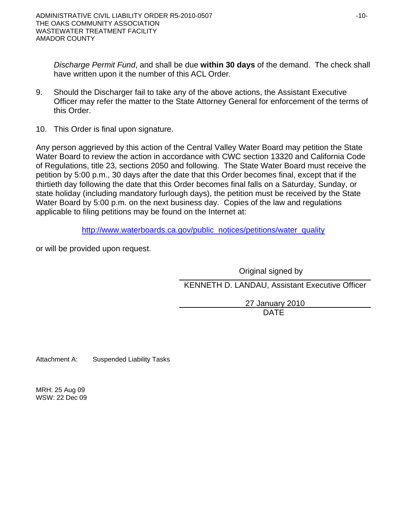*Discharge Permit Fund*, and shall be due **within 30 days** of the demand. The check shall have written upon it the number of this ACL Order.

- 9. Should the Discharger fail to take any of the above actions, the Assistant Executive Officer may refer the matter to the State Attorney General for enforcement of the terms of this Order.
- 10. This Order is final upon signature.

Any person aggrieved by this action of the Central Valley Water Board may petition the State Water Board to review the action in accordance with CWC section 13320 and California Code of Regulations, title 23, sections 2050 and following. The State Water Board must receive the petition by 5:00 p.m., 30 days after the date that this Order becomes final, except that if the thirtieth day following the date that this Order becomes final falls on a Saturday, Sunday, or state holiday (including mandatory furlough days), the petition must be received by the State Water Board by 5:00 p.m. on the next business day. Copies of the law and regulations applicable to filing petitions may be found on the Internet at:

[http://www.waterboards.ca.gov/public\\_notices/petitions/water\\_quality](http://www.waterboards.ca.gov/public_notices/petitions/water_quality)

or will be provided upon request.

 Original signed by KENNETH D. LANDAU, Assistant Executive Officer

> 27 January 2010 DATE

Attachment A: Suspended Liability Tasks

MRH: 25 Aug 09 WSW: 22 Dec 09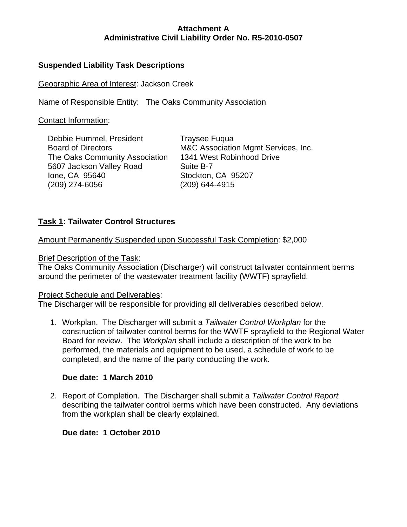# **Suspended Liability Task Descriptions**

Geographic Area of Interest: Jackson Creek

Name of Responsible Entity: The Oaks Community Association

Contact Information:

| Debbie Hummel, President       | <b>Traysee Fugua</b>                |
|--------------------------------|-------------------------------------|
| <b>Board of Directors</b>      | M&C Association Mgmt Services, Inc. |
| The Oaks Community Association | 1341 West Robinhood Drive           |
| 5607 Jackson Valley Road       | Suite B-7                           |
| lone, CA 95640                 | Stockton, CA 95207                  |
| (209) 274-6056                 | (209) 644-4915                      |
|                                |                                     |

# **Task 1: Tailwater Control Structures**

Amount Permanently Suspended upon Successful Task Completion: \$2,000

#### Brief Description of the Task:

The Oaks Community Association (Discharger) will construct tailwater containment berms around the perimeter of the wastewater treatment facility (WWTF) sprayfield.

## Project Schedule and Deliverables:

The Discharger will be responsible for providing all deliverables described below.

1. Workplan. The Discharger will submit a *Tailwater Control Workplan* for the construction of tailwater control berms for the WWTF sprayfield to the Regional Water Board for review. The *Workplan* shall include a description of the work to be performed, the materials and equipment to be used, a schedule of work to be completed, and the name of the party conducting the work.

## **Due date: 1 March 2010**

2. Report of Completion. The Discharger shall submit a *Tailwater Control Report* describing the tailwater control berms which have been constructed. Any deviations from the workplan shall be clearly explained.

## **Due date: 1 October 2010**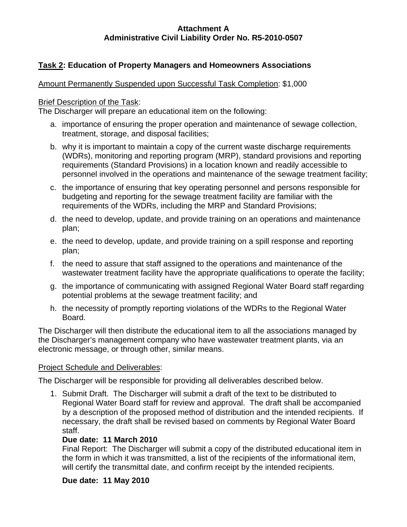# **Task 2: Education of Property Managers and Homeowners Associations**

## Amount Permanently Suspended upon Successful Task Completion: \$1,000

### Brief Description of the Task:

The Discharger will prepare an educational item on the following:

- a. importance of ensuring the proper operation and maintenance of sewage collection, treatment, storage, and disposal facilities;
- b. why it is important to maintain a copy of the current waste discharge requirements (WDRs), monitoring and reporting program (MRP), standard provisions and reporting requirements (Standard Provisions) in a location known and readily accessible to personnel involved in the operations and maintenance of the sewage treatment facility;
- c. the importance of ensuring that key operating personnel and persons responsible for budgeting and reporting for the sewage treatment facility are familiar with the requirements of the WDRs, including the MRP and Standard Provisions;
- d. the need to develop, update, and provide training on an operations and maintenance plan;
- e. the need to develop, update, and provide training on a spill response and reporting plan;
- f. the need to assure that staff assigned to the operations and maintenance of the wastewater treatment facility have the appropriate qualifications to operate the facility;
- g. the importance of communicating with assigned Regional Water Board staff regarding potential problems at the sewage treatment facility; and
- h. the necessity of promptly reporting violations of the WDRs to the Regional Water Board.

The Discharger will then distribute the educational item to all the associations managed by the Discharger's management company who have wastewater treatment plants, via an electronic message, or through other, similar means.

## Project Schedule and Deliverables:

The Discharger will be responsible for providing all deliverables described below.

1. Submit Draft. The Discharger will submit a draft of the text to be distributed to Regional Water Board staff for review and approval. The draft shall be accompanied by a description of the proposed method of distribution and the intended recipients. If necessary, the draft shall be revised based on comments by Regional Water Board staff.

# **Due date: 11 March 2010**

Final Report: The Discharger will submit a copy of the distributed educational item in the form in which it was transmitted, a list of the recipients of the informational item, will certify the transmittal date, and confirm receipt by the intended recipients.

## **Due date: 11 May 2010**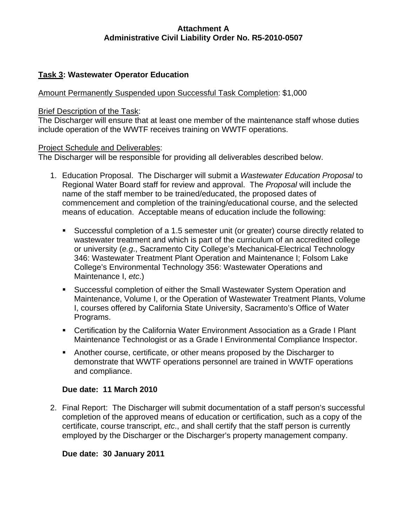# **Task 3: Wastewater Operator Education**

### Amount Permanently Suspended upon Successful Task Completion: \$1,000

#### Brief Description of the Task:

The Discharger will ensure that at least one member of the maintenance staff whose duties include operation of the WWTF receives training on WWTF operations.

#### Project Schedule and Deliverables:

The Discharger will be responsible for providing all deliverables described below.

- 1. Education Proposal. The Discharger will submit a *Wastewater Education Proposal* to Regional Water Board staff for review and approval. The *Proposal* will include the name of the staff member to be trained/educated, the proposed dates of commencement and completion of the training/educational course, and the selected means of education. Acceptable means of education include the following:
	- Successful completion of a 1.5 semester unit (or greater) course directly related to wastewater treatment and which is part of the curriculum of an accredited college or university (*e.g*., Sacramento City College's Mechanical-Electrical Technology 346: Wastewater Treatment Plant Operation and Maintenance I; Folsom Lake College's Environmental Technology 356: Wastewater Operations and Maintenance I, *etc*.)
	- Successful completion of either the Small Wastewater System Operation and Maintenance, Volume I, or the Operation of Wastewater Treatment Plants, Volume I, courses offered by California State University, Sacramento's Office of Water Programs.
	- Certification by the California Water Environment Association as a Grade I Plant Maintenance Technologist or as a Grade I Environmental Compliance Inspector.
	- Another course, certificate, or other means proposed by the Discharger to demonstrate that WWTF operations personnel are trained in WWTF operations and compliance.

#### **Due date: 11 March 2010**

2. Final Report: The Discharger will submit documentation of a staff person's successful completion of the approved means of education or certification, such as a copy of the certificate, course transcript, *etc*., and shall certify that the staff person is currently employed by the Discharger or the Discharger's property management company.

#### **Due date: 30 January 2011**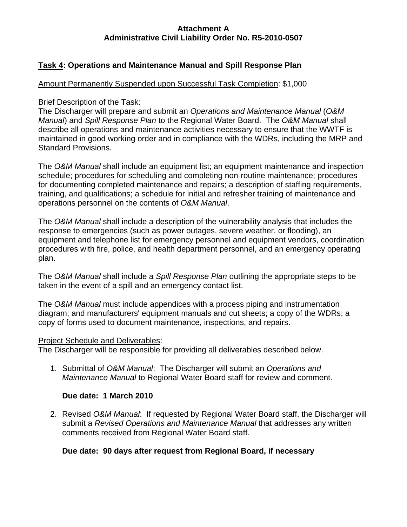# **Task 4: Operations and Maintenance Manual and Spill Response Plan**

#### Amount Permanently Suspended upon Successful Task Completion: \$1,000

#### Brief Description of the Task:

The Discharger will prepare and submit an *Operations and Maintenance Manual* (*O&M Manual*) and *Spill Response Plan* to the Regional Water Board. The *O&M Manual* shall describe all operations and maintenance activities necessary to ensure that the WWTF is maintained in good working order and in compliance with the WDRs, including the MRP and Standard Provisions.

The *O&M Manual* shall include an equipment list; an equipment maintenance and inspection schedule; procedures for scheduling and completing non-routine maintenance; procedures for documenting completed maintenance and repairs; a description of staffing requirements, training, and qualifications; a schedule for initial and refresher training of maintenance and operations personnel on the contents of *O&M Manual*.

The *O&M Manual* shall include a description of the vulnerability analysis that includes the response to emergencies (such as power outages, severe weather, or flooding), an equipment and telephone list for emergency personnel and equipment vendors, coordination procedures with fire, police, and health department personnel, and an emergency operating plan.

The *O&M Manual* shall include a *Spill Response Plan* outlining the appropriate steps to be taken in the event of a spill and an emergency contact list.

The *O&M Manual* must include appendices with a process piping and instrumentation diagram; and manufacturers' equipment manuals and cut sheets; a copy of the WDRs; a copy of forms used to document maintenance, inspections, and repairs.

#### Project Schedule and Deliverables:

The Discharger will be responsible for providing all deliverables described below.

1. Submittal of *O&M Manual*: The Discharger will submit an *Operations and Maintenance Manual* to Regional Water Board staff for review and comment.

#### **Due date: 1 March 2010**

2. Revised *O&M Manual*: If requested by Regional Water Board staff, the Discharger will submit a *Revised Operations and Maintenance Manual* that addresses any written comments received from Regional Water Board staff.

#### **Due date: 90 days after request from Regional Board, if necessary**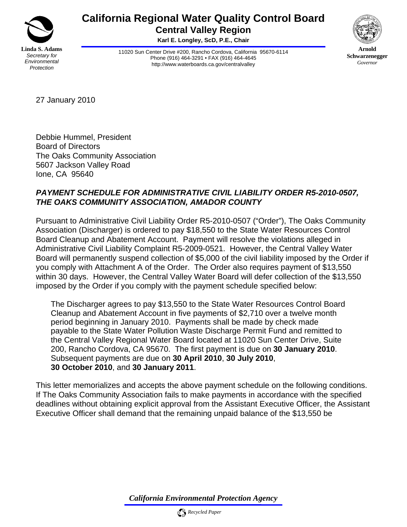

# **California Regional Water Quality Control Board Central Valley Region**

**Karl E. Longley, ScD, P.E., Chair** 

11020 Sun Center Drive #200, Rancho Cordova, California 95670-6114 Phone (916) 464-3291 • FAX (916) 464-4645 http://www.waterboards.ca.gov/centralvalley



**Arnold Schwarzenegger** *Governor* 

27 January 2010

Debbie Hummel, President Board of Directors The Oaks Community Association 5607 Jackson Valley Road Ione, CA 95640

# *PAYMENT SCHEDULE FOR ADMINISTRATIVE CIVIL LIABILITY ORDER R5-2010-0507, THE OAKS COMMUNITY ASSOCIATION, AMADOR COUNTY*

Pursuant to Administrative Civil Liability Order R5-2010-0507 ("Order"), The Oaks Community Association (Discharger) is ordered to pay \$18,550 to the State Water Resources Control Board Cleanup and Abatement Account. Payment will resolve the violations alleged in Administrative Civil Liability Complaint R5-2009-0521. However, the Central Valley Water Board will permanently suspend collection of \$5,000 of the civil liability imposed by the Order if you comply with Attachment A of the Order. The Order also requires payment of \$13,550 within 30 days. However, the Central Valley Water Board will defer collection of the \$13,550 imposed by the Order if you comply with the payment schedule specified below:

The Discharger agrees to pay \$13,550 to the State Water Resources Control Board Cleanup and Abatement Account in five payments of \$2,710 over a twelve month period beginning in January 2010. Payments shall be made by check made payable to the State Water Pollution Waste Discharge Permit Fund and remitted to the Central Valley Regional Water Board located at 11020 Sun Center Drive, Suite 200, Rancho Cordova, CA 95670. The first payment is due on **30 January 2010**. Subsequent payments are due on **30 April 2010**, **30 July 2010**, **30 October 2010**, and **30 January 2011**.

This letter memorializes and accepts the above payment schedule on the following conditions. If The Oaks Community Association fails to make payments in accordance with the specified deadlines without obtaining explicit approval from the Assistant Executive Officer, the Assistant Executive Officer shall demand that the remaining unpaid balance of the \$13,550 be

*California Environmental Protection Agency*